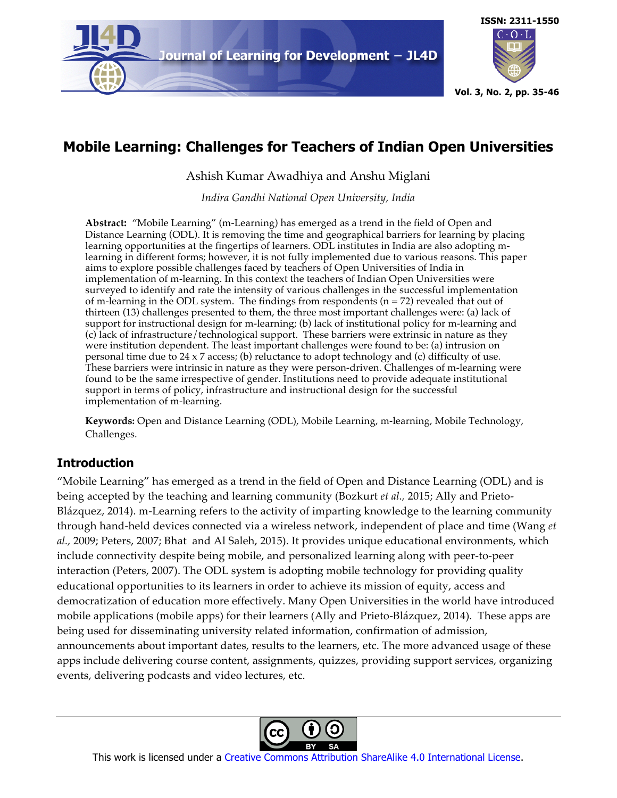



# **Mobile Learning: Challenges for Teachers of Indian Open Universities**

Ashish Kumar Awadhiya and Anshu Miglani

*Indira Gandhi National Open University, India*

**Abstract:** "Mobile Learning" (m-Learning) has emerged as a trend in the field of Open and Distance Learning (ODL). It is removing the time and geographical barriers for learning by placing learning opportunities at the fingertips of learners. ODL institutes in India are also adopting mlearning in different forms; however, it is not fully implemented due to various reasons. This paper aims to explore possible challenges faced by teachers of Open Universities of India in implementation of m-learning. In this context the teachers of Indian Open Universities were surveyed to identify and rate the intensity of various challenges in the successful implementation of m-learning in the ODL system. The findings from respondents  $(n = 72)$  revealed that out of thirteen (13) challenges presented to them, the three most important challenges were: (a) lack of support for instructional design for m-learning; (b) lack of institutional policy for m-learning and (c) lack of infrastructure/technological support. These barriers were extrinsic in nature as they were institution dependent. The least important challenges were found to be: (a) intrusion on personal time due to 24 x 7 access; (b) reluctance to adopt technology and (c) difficulty of use. These barriers were intrinsic in nature as they were person-driven. Challenges of m-learning were found to be the same irrespective of gender. Institutions need to provide adequate institutional support in terms of policy, infrastructure and instructional design for the successful implementation of m-learning.

**Keywords:** Open and Distance Learning (ODL), Mobile Learning, m-learning, Mobile Technology, Challenges.

# **Introduction**

"Mobile Learning" has emerged as a trend in the field of Open and Distance Learning (ODL) and is being accepted by the teaching and learning community (Bozkurt *et al.,* 2015; Ally and Prieto-Blázquez, 2014). m-Learning refers to the activity of imparting knowledge to the learning community through hand-held devices connected via a wireless network, independent of place and time (Wang *et al.,* 2009; Peters, 2007; Bhat and Al Saleh, 2015). It provides unique educational environments, which include connectivity despite being mobile, and personalized learning along with peer-to-peer interaction (Peters, 2007). The ODL system is adopting mobile technology for providing quality educational opportunities to its learners in order to achieve its mission of equity, access and democratization of education more effectively. Many Open Universities in the world have introduced mobile applications (mobile apps) for their learners (Ally and Prieto-Blázquez, 2014). These apps are being used for disseminating university related information, confirmation of admission, announcements about important dates, results to the learners, etc. The more advanced usage of these apps include delivering course content, assignments, quizzes, providing support services, organizing events, delivering podcasts and video lectures, etc.



This work is licensed under a Creative Commons Attribution ShareAlike 4.0 International License.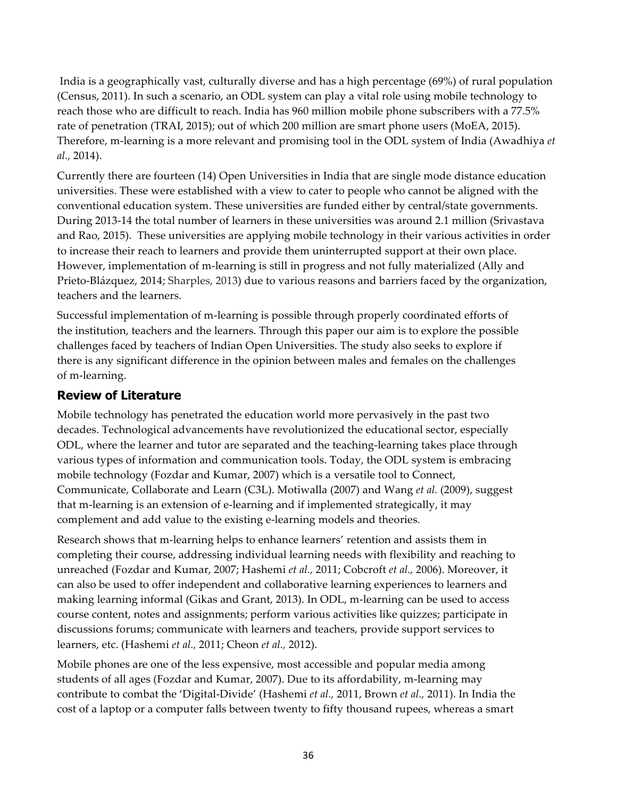India is a geographically vast, culturally diverse and has a high percentage (69%) of rural population (Census, 2011). In such a scenario, an ODL system can play a vital role using mobile technology to reach those who are difficult to reach. India has 960 million mobile phone subscribers with a 77.5% rate of penetration (TRAI, 2015); out of which 200 million are smart phone users (MoEA, 2015). Therefore, m-learning is a more relevant and promising tool in the ODL system of India (Awadhiya *et al.,* 2014).

Currently there are fourteen (14) Open Universities in India that are single mode distance education universities. These were established with a view to cater to people who cannot be aligned with the conventional education system. These universities are funded either by central/state governments. During 2013-14 the total number of learners in these universities was around 2.1 million (Srivastava and Rao, 2015). These universities are applying mobile technology in their various activities in order to increase their reach to learners and provide them uninterrupted support at their own place. However, implementation of m-learning is still in progress and not fully materialized (Ally and Prieto-Blázquez, 2014; Sharples, 2013) due to various reasons and barriers faced by the organization, teachers and the learners.

Successful implementation of m-learning is possible through properly coordinated efforts of the institution, teachers and the learners. Through this paper our aim is to explore the possible challenges faced by teachers of Indian Open Universities. The study also seeks to explore if there is any significant difference in the opinion between males and females on the challenges of m-learning.

### **Review of Literature**

Mobile technology has penetrated the education world more pervasively in the past two decades. Technological advancements have revolutionized the educational sector, especially ODL, where the learner and tutor are separated and the teaching-learning takes place through various types of information and communication tools. Today, the ODL system is embracing mobile technology (Fozdar and Kumar, 2007) which is a versatile tool to Connect, Communicate, Collaborate and Learn (C3L). Motiwalla (2007) and Wang *et al.* (2009), suggest that m-learning is an extension of e-learning and if implemented strategically, it may complement and add value to the existing e-learning models and theories.

Research shows that m-learning helps to enhance learners' retention and assists them in completing their course, addressing individual learning needs with flexibility and reaching to unreached (Fozdar and Kumar, 2007; Hashemi *et al.,* 2011; Cobcroft *et al.,* 2006). Moreover, it can also be used to offer independent and collaborative learning experiences to learners and making learning informal (Gikas and Grant, 2013). In ODL, m-learning can be used to access course content, notes and assignments; perform various activities like quizzes; participate in discussions forums; communicate with learners and teachers, provide support services to learners, etc. (Hashemi *et al.,* 2011; Cheon *et al.,* 2012).

Mobile phones are one of the less expensive, most accessible and popular media among students of all ages (Fozdar and Kumar, 2007). Due to its affordability, m-learning may contribute to combat the 'Digital-Divide' (Hashemi *et al.,* 2011, Brown *et al.,* 2011). In India the cost of a laptop or a computer falls between twenty to fifty thousand rupees, whereas a smart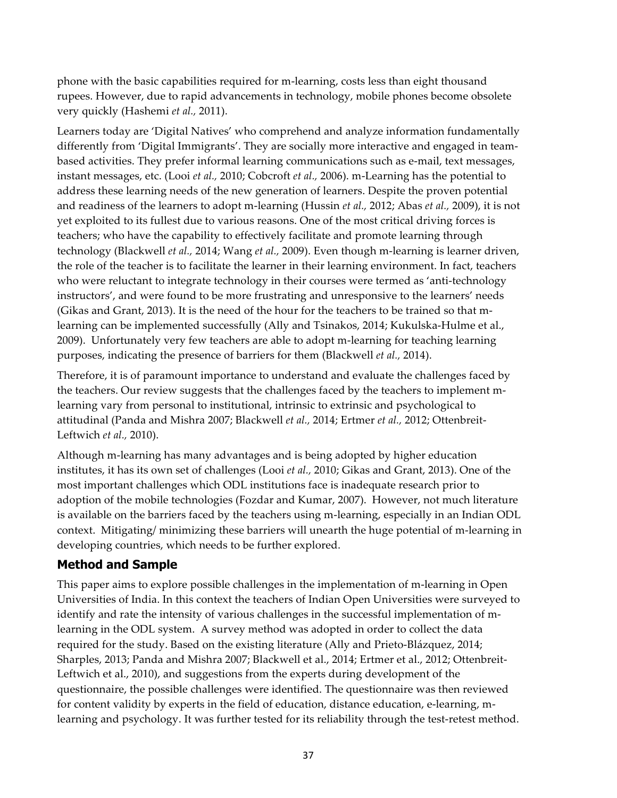phone with the basic capabilities required for m-learning, costs less than eight thousand rupees. However, due to rapid advancements in technology, mobile phones become obsolete very quickly (Hashemi *et al.,* 2011).

Learners today are 'Digital Natives' who comprehend and analyze information fundamentally differently from 'Digital Immigrants'. They are socially more interactive and engaged in teambased activities. They prefer informal learning communications such as e-mail, text messages, instant messages, etc. (Looi *et al.,* 2010; Cobcroft *et al.,* 2006). m-Learning has the potential to address these learning needs of the new generation of learners. Despite the proven potential and readiness of the learners to adopt m-learning (Hussin *et al.,* 2012; Abas *et al.,* 2009), it is not yet exploited to its fullest due to various reasons. One of the most critical driving forces is teachers; who have the capability to effectively facilitate and promote learning through technology (Blackwell *et al.,* 2014; Wang *et al.,* 2009). Even though m-learning is learner driven, the role of the teacher is to facilitate the learner in their learning environment. In fact, teachers who were reluctant to integrate technology in their courses were termed as 'anti-technology instructors', and were found to be more frustrating and unresponsive to the learners' needs (Gikas and Grant, 2013). It is the need of the hour for the teachers to be trained so that mlearning can be implemented successfully (Ally and Tsinakos, 2014; Kukulska-Hulme et al., 2009). Unfortunately very few teachers are able to adopt m-learning for teaching learning purposes, indicating the presence of barriers for them (Blackwell *et al.,* 2014).

Therefore, it is of paramount importance to understand and evaluate the challenges faced by the teachers. Our review suggests that the challenges faced by the teachers to implement mlearning vary from personal to institutional, intrinsic to extrinsic and psychological to attitudinal (Panda and Mishra 2007; Blackwell *et al.,* 2014; Ertmer *et al.,* 2012; Ottenbreit-Leftwich *et al.,* 2010).

Although m-learning has many advantages and is being adopted by higher education institutes, it has its own set of challenges (Looi *et al.,* 2010; Gikas and Grant, 2013). One of the most important challenges which ODL institutions face is inadequate research prior to adoption of the mobile technologies (Fozdar and Kumar, 2007). However, not much literature is available on the barriers faced by the teachers using m-learning, especially in an Indian ODL context. Mitigating/ minimizing these barriers will unearth the huge potential of m-learning in developing countries, which needs to be further explored.

# **Method and Sample**

This paper aims to explore possible challenges in the implementation of m-learning in Open Universities of India. In this context the teachers of Indian Open Universities were surveyed to identify and rate the intensity of various challenges in the successful implementation of mlearning in the ODL system. A survey method was adopted in order to collect the data required for the study. Based on the existing literature (Ally and Prieto-Blázquez, 2014; Sharples, 2013; Panda and Mishra 2007; Blackwell et al., 2014; Ertmer et al., 2012; Ottenbreit-Leftwich et al., 2010), and suggestions from the experts during development of the questionnaire, the possible challenges were identified. The questionnaire was then reviewed for content validity by experts in the field of education, distance education, e-learning, mlearning and psychology. It was further tested for its reliability through the test-retest method.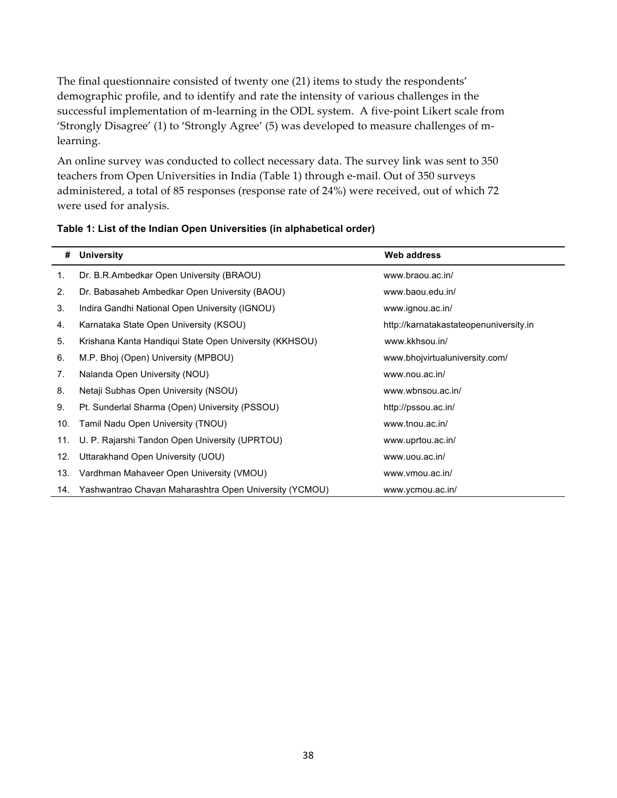The final questionnaire consisted of twenty one (21) items to study the respondents' demographic profile, and to identify and rate the intensity of various challenges in the successful implementation of m-learning in the ODL system. A five-point Likert scale from 'Strongly Disagree' (1) to 'Strongly Agree' (5) was developed to measure challenges of mlearning.

An online survey was conducted to collect necessary data. The survey link was sent to 350 teachers from Open Universities in India (Table 1) through e-mail. Out of 350 surveys administered, a total of 85 responses (response rate of 24%) were received, out of which 72 were used for analysis.

| #   | <b>University</b>                                      | Web address                            |
|-----|--------------------------------------------------------|----------------------------------------|
| 1.  | Dr. B.R.Ambedkar Open University (BRAOU)               | www.braou.ac.in/                       |
| 2.  | Dr. Babasaheb Ambedkar Open University (BAOU)          | www.baou.edu.in/                       |
| 3.  | Indira Gandhi National Open University (IGNOU)         | www.ignou.ac.in/                       |
| 4.  | Karnataka State Open University (KSOU)                 | http://karnatakastateopenuniversity.in |
| 5.  | Krishana Kanta Handiqui State Open University (KKHSOU) | www.kkhsou.in/                         |
| 6.  | M.P. Bhoj (Open) University (MPBOU)                    | www.bhojvirtualuniversity.com/         |
| 7.  | Nalanda Open University (NOU)                          | www.nou.ac.in/                         |
| 8.  | Netaji Subhas Open University (NSOU)                   | www.wbnsou.ac.in/                      |
| 9.  | Pt. Sunderlal Sharma (Open) University (PSSOU)         | http://pssou.ac.in/                    |
| 10. | Tamil Nadu Open University (TNOU)                      | www.tnou.ac.in/                        |
| 11. | U. P. Rajarshi Tandon Open University (UPRTOU)         | www.uprtou.ac.in/                      |
| 12. | Uttarakhand Open University (UOU)                      | www.uou.ac.in/                         |
| 13. | Vardhman Mahaveer Open University (VMOU)               | www.vmou.ac.in/                        |
| 14. | Yashwantrao Chavan Maharashtra Open University (YCMOU) | www.ycmou.ac.in/                       |

#### **Table 1: List of the Indian Open Universities (in alphabetical order)**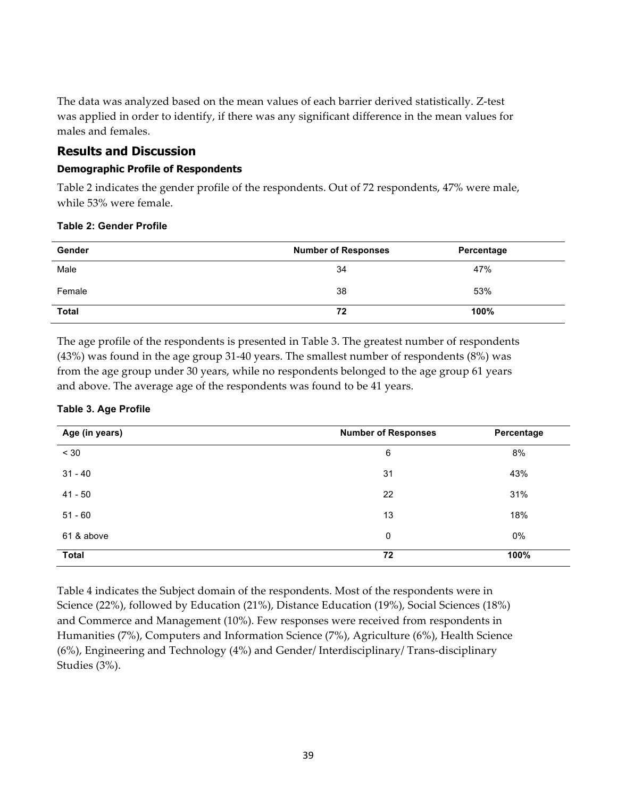The data was analyzed based on the mean values of each barrier derived statistically. Z-test was applied in order to identify, if there was any significant difference in the mean values for males and females.

### **Results and Discussion**

### **Demographic Profile of Respondents**

Table 2 indicates the gender profile of the respondents. Out of 72 respondents, 47% were male, while 53% were female.

| Gender       | <b>Number of Responses</b> | Percentage |
|--------------|----------------------------|------------|
| Male         | 34                         | 47%        |
| Female       | 38                         | 53%        |
| <b>Total</b> | 72                         | 100%       |

### **Table 2: Gender Profile**

The age profile of the respondents is presented in Table 3. The greatest number of respondents (43%) was found in the age group 31-40 years. The smallest number of respondents (8%) was from the age group under 30 years, while no respondents belonged to the age group 61 years and above. The average age of the respondents was found to be 41 years.

### **Table 3. Age Profile**

| Age (in years) | <b>Number of Responses</b> | Percentage |  |  |
|----------------|----------------------------|------------|--|--|
| < 30           | 6                          | 8%         |  |  |
| $31 - 40$      | 31                         | 43%        |  |  |
| $41 - 50$      | 22                         | 31%        |  |  |
| $51 - 60$      | 13                         | 18%        |  |  |
| 61 & above     | 0                          | 0%         |  |  |
| <b>Total</b>   | 72                         | 100%       |  |  |

Table 4 indicates the Subject domain of the respondents. Most of the respondents were in Science (22%), followed by Education (21%), Distance Education (19%), Social Sciences (18%) and Commerce and Management (10%). Few responses were received from respondents in Humanities (7%), Computers and Information Science (7%), Agriculture (6%), Health Science (6%), Engineering and Technology (4%) and Gender/ Interdisciplinary/ Trans-disciplinary Studies (3%).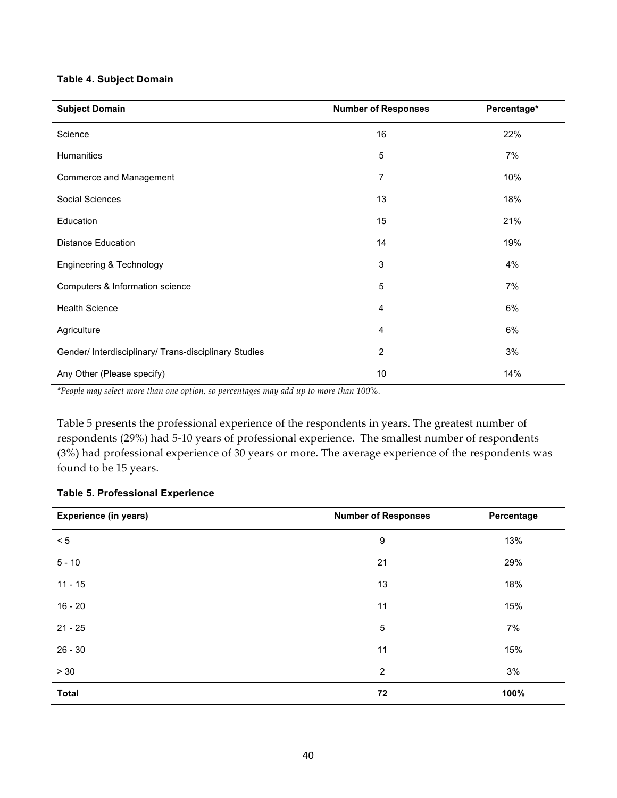#### **Table 4. Subject Domain**

| <b>Subject Domain</b>                                 | <b>Number of Responses</b> | Percentage* |
|-------------------------------------------------------|----------------------------|-------------|
| Science                                               | 16                         | 22%         |
| Humanities                                            | 5                          | 7%          |
| Commerce and Management                               | $\overline{7}$             | 10%         |
| Social Sciences                                       | 13                         | 18%         |
| Education                                             | 15                         | 21%         |
| <b>Distance Education</b>                             | 14                         | 19%         |
| Engineering & Technology                              | 3                          | 4%          |
| Computers & Information science                       | 5                          | 7%          |
| <b>Health Science</b>                                 | 4                          | 6%          |
| Agriculture                                           | 4                          | 6%          |
| Gender/ Interdisciplinary/ Trans-disciplinary Studies | $\overline{c}$             | 3%          |
| Any Other (Please specify)                            | 10                         | 14%         |

*\*People may select more than one option, so percentages may add up to more than 100%.*

Table 5 presents the professional experience of the respondents in years. The greatest number of respondents (29%) had 5-10 years of professional experience. The smallest number of respondents (3%) had professional experience of 30 years or more. The average experience of the respondents was found to be 15 years.

### **Table 5. Professional Experience**

| <b>Experience (in years)</b> | <b>Number of Responses</b> | Percentage |  |  |
|------------------------------|----------------------------|------------|--|--|
| $< 5$                        | 9                          | 13%        |  |  |
| $5 - 10$                     | 21                         | 29%        |  |  |
| $11 - 15$                    | 13                         | 18%        |  |  |
| $16 - 20$                    | 11                         | 15%        |  |  |
| $21 - 25$                    | 5                          | 7%         |  |  |
| $26 - 30$                    | 11                         | 15%        |  |  |
| $> 30$                       | $\overline{2}$             | 3%         |  |  |
| <b>Total</b>                 | 72                         | 100%       |  |  |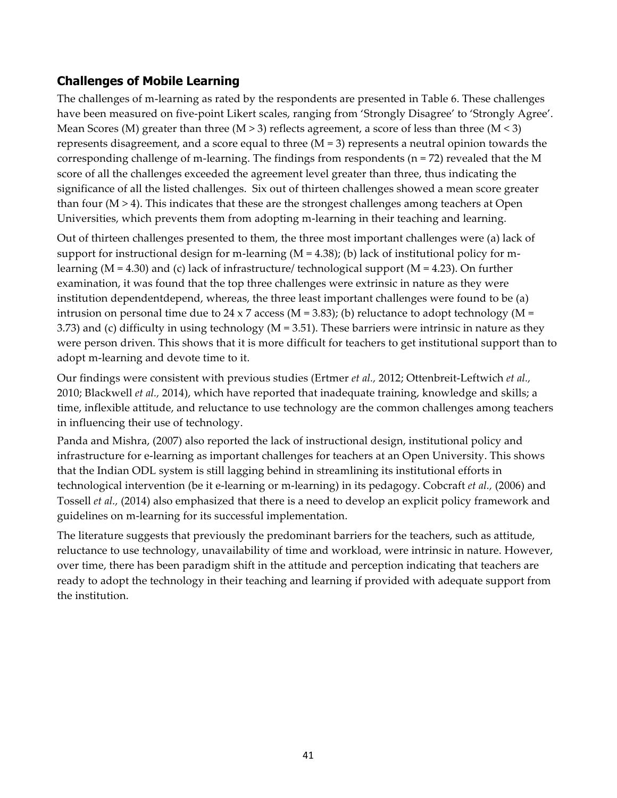# **Challenges of Mobile Learning**

The challenges of m-learning as rated by the respondents are presented in Table 6. These challenges have been measured on five-point Likert scales, ranging from 'Strongly Disagree' to 'Strongly Agree'. Mean Scores (M) greater than three (M  $>$  3) reflects agreement, a score of less than three (M  $<$  3) represents disagreement, and a score equal to three (M = 3) represents a neutral opinion towards the corresponding challenge of m-learning. The findings from respondents ( $n = 72$ ) revealed that the M score of all the challenges exceeded the agreement level greater than three, thus indicating the significance of all the listed challenges. Six out of thirteen challenges showed a mean score greater than four  $(M > 4)$ . This indicates that these are the strongest challenges among teachers at Open Universities, which prevents them from adopting m-learning in their teaching and learning.

Out of thirteen challenges presented to them, the three most important challenges were (a) lack of support for instructional design for m-learning  $(M = 4.38)$ ; (b) lack of institutional policy for mlearning ( $M = 4.30$ ) and (c) lack of infrastructure/ technological support ( $M = 4.23$ ). On further examination, it was found that the top three challenges were extrinsic in nature as they were institution dependentdepend, whereas, the three least important challenges were found to be (a) intrusion on personal time due to 24 x 7 access ( $M = 3.83$ ); (b) reluctance to adopt technology ( $M =$ 3.73) and (c) difficulty in using technology (M = 3.51). These barriers were intrinsic in nature as they were person driven. This shows that it is more difficult for teachers to get institutional support than to adopt m-learning and devote time to it.

Our findings were consistent with previous studies (Ertmer *et al.,* 2012; Ottenbreit-Leftwich *et al.,* 2010; Blackwell *et al.,* 2014), which have reported that inadequate training, knowledge and skills; a time, inflexible attitude, and reluctance to use technology are the common challenges among teachers in influencing their use of technology.

Panda and Mishra, (2007) also reported the lack of instructional design, institutional policy and infrastructure for e-learning as important challenges for teachers at an Open University. This shows that the Indian ODL system is still lagging behind in streamlining its institutional efforts in technological intervention (be it e-learning or m-learning) in its pedagogy. Cobcraft *et al.,* (2006) and Tossell *et al.,* (2014) also emphasized that there is a need to develop an explicit policy framework and guidelines on m-learning for its successful implementation.

The literature suggests that previously the predominant barriers for the teachers, such as attitude, reluctance to use technology, unavailability of time and workload, were intrinsic in nature. However, over time, there has been paradigm shift in the attitude and perception indicating that teachers are ready to adopt the technology in their teaching and learning if provided with adequate support from the institution.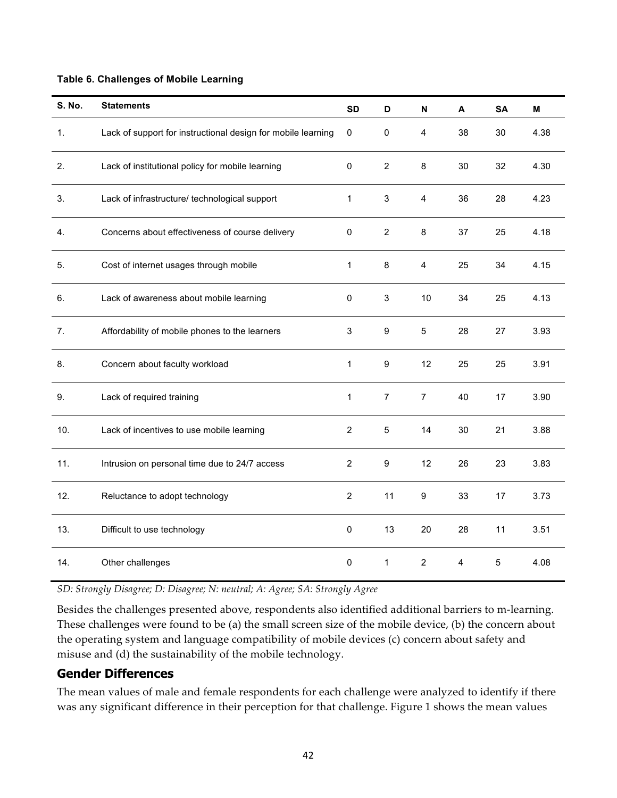#### **Table 6. Challenges of Mobile Learning**

| <b>S. No.</b> | <b>Statements</b>                                            | <b>SD</b>        | D                         | N              | A  | <b>SA</b> | M    |
|---------------|--------------------------------------------------------------|------------------|---------------------------|----------------|----|-----------|------|
| 1.            | Lack of support for instructional design for mobile learning | 0                | 0                         | 4              | 38 | 30        | 4.38 |
| 2.            | Lack of institutional policy for mobile learning             | 0                | $\overline{2}$            | 8              | 30 | 32        | 4.30 |
| 3.            | Lack of infrastructure/ technological support                | 1                | 3                         | 4              | 36 | 28        | 4.23 |
| 4.            | Concerns about effectiveness of course delivery              | 0                | $\overline{2}$            | 8              | 37 | 25        | 4.18 |
| 5.            | Cost of internet usages through mobile                       | $\mathbf{1}$     | 8                         | 4              | 25 | 34        | 4.15 |
| 6.            | Lack of awareness about mobile learning                      | $\pmb{0}$        | $\ensuremath{\mathsf{3}}$ | 10             | 34 | 25        | 4.13 |
| 7.            | Affordability of mobile phones to the learners               | 3                | $\boldsymbol{9}$          | 5              | 28 | 27        | 3.93 |
| 8.            | Concern about faculty workload                               | 1                | $\boldsymbol{9}$          | 12             | 25 | 25        | 3.91 |
| 9.            | Lack of required training                                    | $\mathbf{1}$     | $\overline{7}$            | $\overline{7}$ | 40 | 17        | 3.90 |
| 10.           | Lack of incentives to use mobile learning                    | $\overline{2}$   | 5                         | 14             | 30 | 21        | 3.88 |
| 11.           | Intrusion on personal time due to 24/7 access                | $\boldsymbol{2}$ | $\boldsymbol{9}$          | 12             | 26 | 23        | 3.83 |
| 12.           | Reluctance to adopt technology                               | $\overline{2}$   | 11                        | 9              | 33 | 17        | 3.73 |
| 13.           | Difficult to use technology                                  | $\pmb{0}$        | 13                        | 20             | 28 | 11        | 3.51 |
| 14.           | Other challenges                                             | $\pmb{0}$        | $\mathbf{1}$              | $\overline{2}$ | 4  | 5         | 4.08 |

*SD: Strongly Disagree; D: Disagree; N: neutral; A: Agree; SA: Strongly Agree*

Besides the challenges presented above, respondents also identified additional barriers to m-learning. These challenges were found to be (a) the small screen size of the mobile device, (b) the concern about the operating system and language compatibility of mobile devices (c) concern about safety and misuse and (d) the sustainability of the mobile technology.

### **Gender Differences**

The mean values of male and female respondents for each challenge were analyzed to identify if there was any significant difference in their perception for that challenge. Figure 1 shows the mean values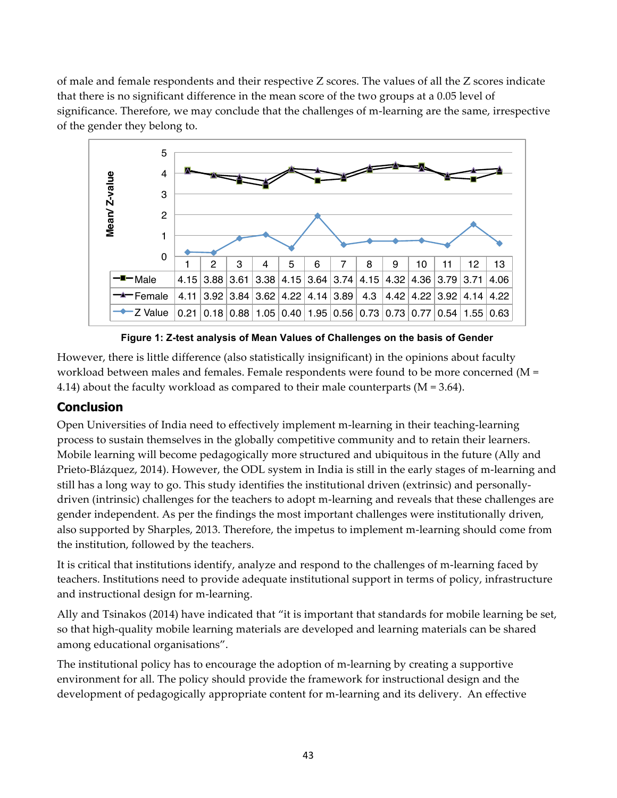of male and female respondents and their respective Z scores. The values of all the Z scores indicate that there is no significant difference in the mean score of the two groups at a 0.05 level of significance. Therefore, we may conclude that the challenges of m-learning are the same, irrespective of the gender they belong to.



**Figure 1: Z-test analysis of Mean Values of Challenges on the basis of Gender**

However, there is little difference (also statistically insignificant) in the opinions about faculty workload between males and females. Female respondents were found to be more concerned (M = 4.14) about the faculty workload as compared to their male counterparts ( $M = 3.64$ ).

# **Conclusion**

Open Universities of India need to effectively implement m-learning in their teaching-learning process to sustain themselves in the globally competitive community and to retain their learners. Mobile learning will become pedagogically more structured and ubiquitous in the future (Ally and Prieto-Blázquez, 2014). However, the ODL system in India is still in the early stages of m-learning and still has a long way to go. This study identifies the institutional driven (extrinsic) and personallydriven (intrinsic) challenges for the teachers to adopt m-learning and reveals that these challenges are gender independent. As per the findings the most important challenges were institutionally driven, also supported by Sharples, 2013. Therefore, the impetus to implement m-learning should come from the institution, followed by the teachers.

It is critical that institutions identify, analyze and respond to the challenges of m-learning faced by teachers. Institutions need to provide adequate institutional support in terms of policy, infrastructure and instructional design for m-learning.

Ally and Tsinakos (2014) have indicated that "it is important that standards for mobile learning be set, so that high-quality mobile learning materials are developed and learning materials can be shared among educational organisations".

The institutional policy has to encourage the adoption of m-learning by creating a supportive environment for all. The policy should provide the framework for instructional design and the development of pedagogically appropriate content for m-learning and its delivery. An effective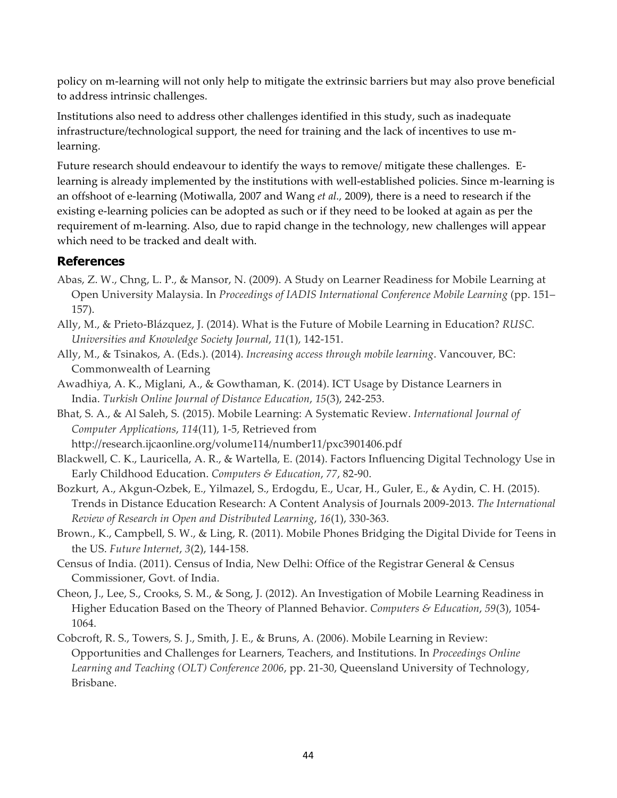policy on m-learning will not only help to mitigate the extrinsic barriers but may also prove beneficial to address intrinsic challenges.

Institutions also need to address other challenges identified in this study, such as inadequate infrastructure/technological support, the need for training and the lack of incentives to use mlearning.

Future research should endeavour to identify the ways to remove/ mitigate these challenges. Elearning is already implemented by the institutions with well-established policies. Since m-learning is an offshoot of e-learning (Motiwalla, 2007 and Wang *et al.,* 2009), there is a need to research if the existing e-learning policies can be adopted as such or if they need to be looked at again as per the requirement of m-learning. Also, due to rapid change in the technology, new challenges will appear which need to be tracked and dealt with.

## **References**

- Abas, Z. W., Chng, L. P., & Mansor, N. (2009). A Study on Learner Readiness for Mobile Learning at Open University Malaysia. In *Proceedings of IADIS International Conference Mobile Learning* (pp. 151– 157).
- Ally, M., & Prieto-Blázquez, J. (2014). What is the Future of Mobile Learning in Education? *RUSC. Universities and Knowledge Society Journal*, *11*(1), 142-151.
- Ally, M., & Tsinakos, A. (Eds.). (2014). *Increasing access through mobile learning*. Vancouver, BC: Commonwealth of Learning
- Awadhiya, A. K., Miglani, A., & Gowthaman, K. (2014). ICT Usage by Distance Learners in India. *Turkish Online Journal of Distance Education*, *15*(3), 242-253.
- Bhat, S. A., & Al Saleh, S. (2015). Mobile Learning: A Systematic Review. *International Journal of Computer Applications*, *114*(11), 1-5, Retrieved from http://research.ijcaonline.org/volume114/number11/pxc3901406.pdf
- Blackwell, C. K., Lauricella, A. R., & Wartella, E. (2014). Factors Influencing Digital Technology Use in Early Childhood Education. *Computers & Education*, *77*, 82-90.
- Bozkurt, A., Akgun-Ozbek, E., Yilmazel, S., Erdogdu, E., Ucar, H., Guler, E., & Aydin, C. H. (2015). Trends in Distance Education Research: A Content Analysis of Journals 2009-2013. *The International Review of Research in Open and Distributed Learning*, *16*(1), 330-363.
- Brown., K., Campbell, S. W., & Ling, R. (2011). Mobile Phones Bridging the Digital Divide for Teens in the US. *Future Internet*, *3*(2), 144-158.
- Census of India. (2011). Census of India, New Delhi: Office of the Registrar General & Census Commissioner, Govt. of India.
- Cheon, J., Lee, S., Crooks, S. M., & Song, J. (2012). An Investigation of Mobile Learning Readiness in Higher Education Based on the Theory of Planned Behavior. *Computers & Education*, *59*(3), 1054- 1064.
- Cobcroft, R. S., Towers, S. J., Smith, J. E., & Bruns, A. (2006). Mobile Learning in Review: Opportunities and Challenges for Learners, Teachers, and Institutions. In *Proceedings Online Learning and Teaching (OLT) Conference 2006*, pp. 21-30, Queensland University of Technology, Brisbane.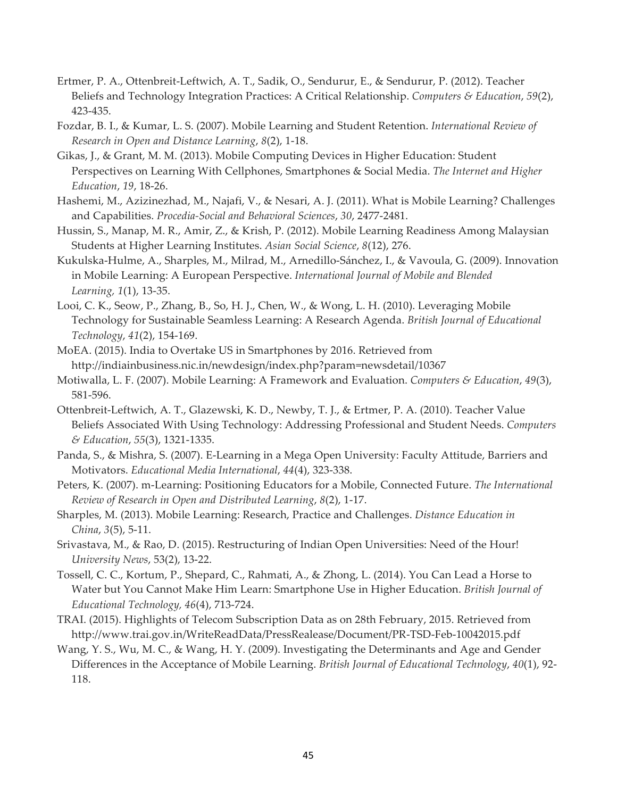- Ertmer, P. A., Ottenbreit-Leftwich, A. T., Sadik, O., Sendurur, E., & Sendurur, P. (2012). Teacher Beliefs and Technology Integration Practices: A Critical Relationship. *Computers & Education*, *59*(2), 423-435.
- Fozdar, B. I., & Kumar, L. S. (2007). Mobile Learning and Student Retention. *International Review of Research in Open and Distance Learning*, *8*(2), 1-18.
- Gikas, J., & Grant, M. M. (2013). Mobile Computing Devices in Higher Education: Student Perspectives on Learning With Cellphones, Smartphones & Social Media. *The Internet and Higher Education*, *19*, 18-26.
- Hashemi, M., Azizinezhad, M., Najafi, V., & Nesari, A. J. (2011). What is Mobile Learning? Challenges and Capabilities. *Procedia-Social and Behavioral Sciences*, *30*, 2477-2481.
- Hussin, S., Manap, M. R., Amir, Z., & Krish, P. (2012). Mobile Learning Readiness Among Malaysian Students at Higher Learning Institutes. *Asian Social Science*, *8*(12), 276.
- Kukulska-Hulme, A., Sharples, M., Milrad, M., Arnedillo-Sánchez, I., & Vavoula, G. (2009). Innovation in Mobile Learning: A European Perspective. *International Journal of Mobile and Blended Learning, 1*(1), 13-35.
- Looi, C. K., Seow, P., Zhang, B., So, H. J., Chen, W., & Wong, L. H. (2010). Leveraging Mobile Technology for Sustainable Seamless Learning: A Research Agenda. *British Journal of Educational Technology*, *41*(2), 154-169.
- MoEA. (2015). India to Overtake US in Smartphones by 2016. Retrieved from http://indiainbusiness.nic.in/newdesign/index.php?param=newsdetail/10367
- Motiwalla, L. F. (2007). Mobile Learning: A Framework and Evaluation. *Computers & Education*, *49*(3), 581-596.
- Ottenbreit-Leftwich, A. T., Glazewski, K. D., Newby, T. J., & Ertmer, P. A. (2010). Teacher Value Beliefs Associated With Using Technology: Addressing Professional and Student Needs. *Computers & Education*, *55*(3), 1321-1335.
- Panda, S., & Mishra, S. (2007). E-Learning in a Mega Open University: Faculty Attitude, Barriers and Motivators. *Educational Media International*, *44*(4), 323-338.
- Peters, K. (2007). m-Learning: Positioning Educators for a Mobile, Connected Future. *The International Review of Research in Open and Distributed Learning*, *8*(2), 1-17.
- Sharples, M. (2013). Mobile Learning: Research, Practice and Challenges. *Distance Education in China*, *3*(5), 5-11.
- Srivastava, M., & Rao, D. (2015). Restructuring of Indian Open Universities: Need of the Hour! *University News*, 53(2), 13-22.
- Tossell, C. C., Kortum, P., Shepard, C., Rahmati, A., & Zhong, L. (2014). You Can Lead a Horse to Water but You Cannot Make Him Learn: Smartphone Use in Higher Education. *British Journal of Educational Technology, 46*(4), 713-724.
- TRAI. (2015). Highlights of Telecom Subscription Data as on 28th February, 2015. Retrieved from http://www.trai.gov.in/WriteReadData/PressRealease/Document/PR-TSD-Feb-10042015.pdf
- Wang, Y. S., Wu, M. C., & Wang, H. Y. (2009). Investigating the Determinants and Age and Gender Differences in the Acceptance of Mobile Learning. *British Journal of Educational Technology*, *40*(1), 92- 118.